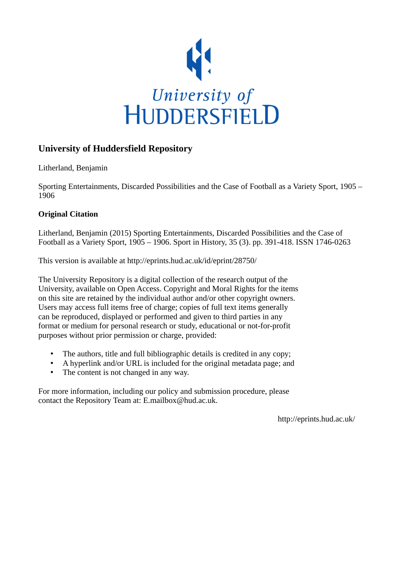

## **University of Huddersfield Repository**

Litherland, Benjamin

Sporting Entertainments, Discarded Possibilities and the Case of Football as a Variety Sport, 1905 – 1906

### **Original Citation**

Litherland, Benjamin (2015) Sporting Entertainments, Discarded Possibilities and the Case of Football as a Variety Sport, 1905 – 1906. Sport in History, 35 (3). pp. 391-418. ISSN 1746-0263

This version is available at http://eprints.hud.ac.uk/id/eprint/28750/

The University Repository is a digital collection of the research output of the University, available on Open Access. Copyright and Moral Rights for the items on this site are retained by the individual author and/or other copyright owners. Users may access full items free of charge; copies of full text items generally can be reproduced, displayed or performed and given to third parties in any format or medium for personal research or study, educational or not-for-profit purposes without prior permission or charge, provided:

- The authors, title and full bibliographic details is credited in any copy;
- A hyperlink and/or URL is included for the original metadata page; and
- The content is not changed in any way.

For more information, including our policy and submission procedure, please contact the Repository Team at: E.mailbox@hud.ac.uk.

http://eprints.hud.ac.uk/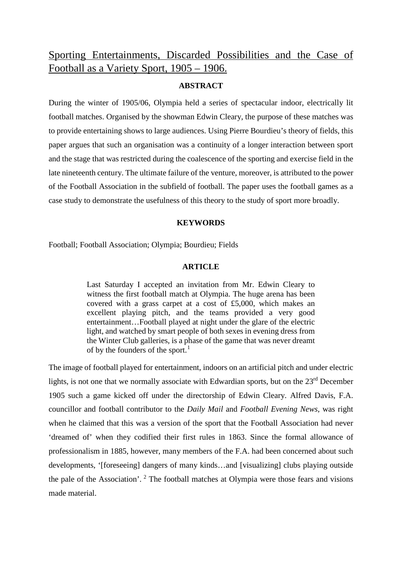# Sporting Entertainments, Discarded Possibilities and the Case of Football as a Variety Sport, 1905 – 1906.

#### **ABSTRACT**

During the winter of 1905/06, Olympia held a series of spectacular indoor, electrically lit football matches. Organised by the showman Edwin Cleary, the purpose of these matches was to provide entertaining shows to large audiences. Using Pierre Bourdieu's theory of fields, this paper argues that such an organisation was a continuity of a longer interaction between sport and the stage that was restricted during the coalescence of the sporting and exercise field in the late nineteenth century. The ultimate failure of the venture, moreover, is attributed to the power of the Football Association in the subfield of football. The paper uses the football games as a case study to demonstrate the usefulness of this theory to the study of sport more broadly.

#### **KEYWORDS**

Football; Football Association; Olympia; Bourdieu; Fields

#### **ARTICLE**

Last Saturday I accepted an invitation from Mr. Edwin Cleary to witness the first football match at Olympia. The huge arena has been covered with a grass carpet at a cost of £5,000, which makes an excellent playing pitch, and the teams provided a very good entertainment…Football played at night under the glare of the electric light, and watched by smart people of both sexes in evening dress from the Winter Club galleries, is a phase of the game that was never dreamt of by the founders of the sport. $<sup>1</sup>$  $<sup>1</sup>$  $<sup>1</sup>$ </sup>

The image of football played for entertainment, indoors on an artificial pitch and under electric lights, is not one that we normally associate with Edwardian sports, but on the 23<sup>rd</sup> December 1905 such a game kicked off under the directorship of Edwin Cleary. Alfred Davis, F.A. councillor and football contributor to the *Daily Mail* and *Football Evening News*, was right when he claimed that this was a version of the sport that the Football Association had never 'dreamed of' when they codified their first rules in 1863. Since the formal allowance of professionalism in 1885, however, many members of the F.A. had been concerned about such developments, '[foreseeing] dangers of many kinds…and [visualizing] clubs playing outside the pale of the Association'. [2](#page-22-1) The football matches at Olympia were those fears and visions made material.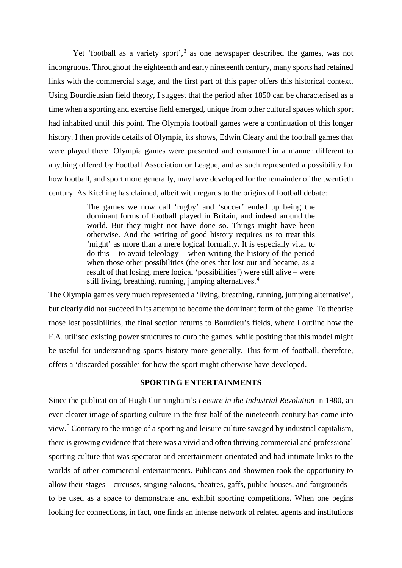Yet 'football as a variety sport',  $3$  as one newspaper described the games, was not incongruous. Throughout the eighteenth and early nineteenth century, many sports had retained links with the commercial stage, and the first part of this paper offers this historical context. Using Bourdieusian field theory, I suggest that the period after 1850 can be characterised as a time when a sporting and exercise field emerged, unique from other cultural spaces which sport had inhabited until this point. The Olympia football games were a continuation of this longer history. I then provide details of Olympia, its shows, Edwin Cleary and the football games that were played there. Olympia games were presented and consumed in a manner different to anything offered by Football Association or League, and as such represented a possibility for how football, and sport more generally, may have developed for the remainder of the twentieth century. As Kitching has claimed, albeit with regards to the origins of football debate:

> The games we now call 'rugby' and 'soccer' ended up being the dominant forms of football played in Britain, and indeed around the world. But they might not have done so. Things might have been otherwise. And the writing of good history requires us to treat this 'might' as more than a mere logical formality. It is especially vital to do this – to avoid teleology – when writing the history of the period when those other possibilities (the ones that lost out and became, as a result of that losing, mere logical 'possibilities') were still alive – were still living, breathing, running, jumping alternatives.<sup>[4](#page-22-3)</sup>

The Olympia games very much represented a 'living, breathing, running, jumping alternative', but clearly did not succeed in its attempt to become the dominant form of the game. To theorise those lost possibilities, the final section returns to Bourdieu's fields, where I outline how the F.A. utilised existing power structures to curb the games, while positing that this model might be useful for understanding sports history more generally. This form of football, therefore, offers a 'discarded possible' for how the sport might otherwise have developed.

#### **SPORTING ENTERTAINMENTS**

Since the publication of Hugh Cunningham's *Leisure in the Industrial Revolution* in 1980, an ever-clearer image of sporting culture in the first half of the nineteenth century has come into view.[5](#page-22-4) Contrary to the image of a sporting and leisure culture savaged by industrial capitalism, there is growing evidence that there was a vivid and often thriving commercial and professional sporting culture that was spectator and entertainment-orientated and had intimate links to the worlds of other commercial entertainments. Publicans and showmen took the opportunity to allow their stages – circuses, singing saloons, theatres, gaffs, public houses, and fairgrounds – to be used as a space to demonstrate and exhibit sporting competitions. When one begins looking for connections, in fact, one finds an intense network of related agents and institutions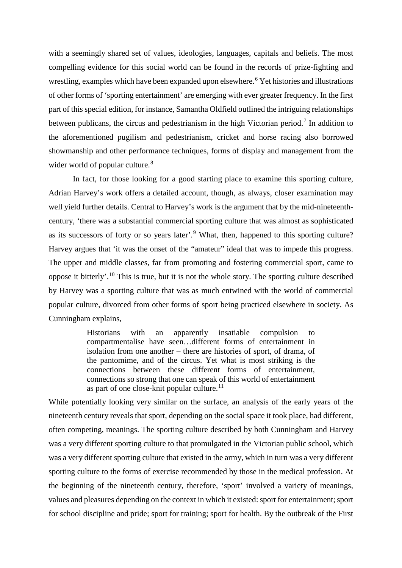with a seemingly shared set of values, ideologies, languages, capitals and beliefs. The most compelling evidence for this social world can be found in the records of prize-fighting and wrestling, examples which have been expanded upon elsewhere.<sup>[6](#page-22-5)</sup> Yet histories and illustrations of other forms of 'sporting entertainment' are emerging with ever greater frequency. In the first part of this special edition, for instance, Samantha Oldfield outlined the intriguing relationships between publicans, the circus and pedestrianism in the high Victorian period.<sup>[7](#page-22-6)</sup> In addition to the aforementioned pugilism and pedestrianism, cricket and horse racing also borrowed showmanship and other performance techniques, forms of display and management from the wider world of popular culture.<sup>[8](#page-22-7)</sup>

In fact, for those looking for a good starting place to examine this sporting culture, Adrian Harvey's work offers a detailed account, though, as always, closer examination may well yield further details. Central to Harvey's work is the argument that by the mid-nineteenthcentury, 'there was a substantial commercial sporting culture that was almost as sophisticated as its successors of forty or so years later'.<sup>[9](#page-22-8)</sup> What, then, happened to this sporting culture? Harvey argues that 'it was the onset of the "amateur" ideal that was to impede this progress. The upper and middle classes, far from promoting and fostering commercial sport, came to oppose it bitterly'.[10](#page-22-9) This is true, but it is not the whole story. The sporting culture described by Harvey was a sporting culture that was as much entwined with the world of commercial popular culture, divorced from other forms of sport being practiced elsewhere in society. As Cunningham explains,

> Historians with an apparently insatiable compulsion to compartmentalise have seen…different forms of entertainment in isolation from one another – there are histories of sport, of drama, of the pantomime, and of the circus. Yet what is most striking is the connections between these different forms of entertainment, connections so strong that one can speak of this world of entertainment as part of one close-knit popular culture. $11$

While potentially looking very similar on the surface, an analysis of the early years of the nineteenth century reveals that sport, depending on the social space it took place, had different, often competing, meanings. The sporting culture described by both Cunningham and Harvey was a very different sporting culture to that promulgated in the Victorian public school, which was a very different sporting culture that existed in the army, which in turn was a very different sporting culture to the forms of exercise recommended by those in the medical profession. At the beginning of the nineteenth century, therefore, 'sport' involved a variety of meanings, values and pleasures depending on the context in which it existed: sport for entertainment; sport for school discipline and pride; sport for training; sport for health. By the outbreak of the First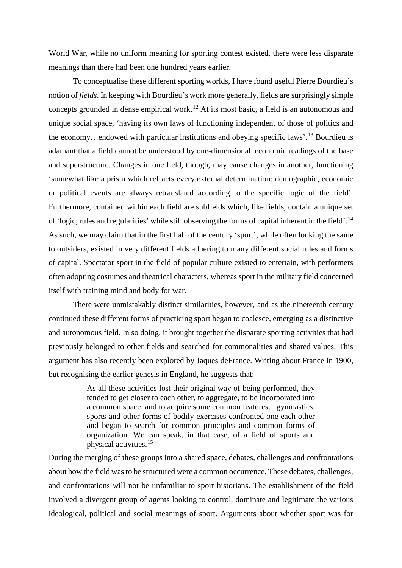World War, while no uniform meaning for sporting contest existed, there were less disparate meanings than there had been one hundred years earlier.

To conceptualise these different sporting worlds, I have found useful Pierre Bourdieu's notion of *fields*. In keeping with Bourdieu's work more generally, fields are surprisingly simple concepts grounded in dense empirical work.[12](#page-22-11) At its most basic, a field is an autonomous and unique social space, 'having its own laws of functioning independent of those of politics and the economy...endowed with particular institutions and obeying specific laws'.<sup>[13](#page-22-12)</sup> Bourdieu is adamant that a field cannot be understood by one-dimensional, economic readings of the base and superstructure. Changes in one field, though, may cause changes in another, functioning 'somewhat like a prism which refracts every external determination: demographic, economic or political events are always retranslated according to the specific logic of the field'. Furthermore, contained within each field are subfields which, like fields, contain a unique set of 'logic, rules and regularities' while still observing the forms of capital inherent in the field'.<sup>[14](#page-22-13)</sup> As such, we may claim that in the first half of the century 'sport', while often looking the same to outsiders, existed in very different fields adhering to many different social rules and forms of capital. Spectator sport in the field of popular culture existed to entertain, with performers often adopting costumes and theatrical characters, whereas sport in the military field concerned itself with training mind and body for war.

There were unmistakably distinct similarities, however, and as the nineteenth century continued these different forms of practicing sport began to coalesce, emerging as a distinctive and autonomous field. In so doing, it brought together the disparate sporting activities that had previously belonged to other fields and searched for commonalities and shared values. This argument has also recently been explored by Jaques deFrance. Writing about France in 1900, but recognising the earlier genesis in England, he suggests that:

> As all these activities lost their original way of being performed, they tended to get closer to each other, to aggregate, to be incorporated into a common space, and to acquire some common features…gymnastics, sports and other forms of bodily exercises confronted one each other and began to search for common principles and common forms of organization. We can speak, in that case, of a field of sports and physical activities.[15](#page-22-14)

During the merging of these groups into a shared space, debates, challenges and confrontations about how the field was to be structured were a common occurrence. These debates, challenges, and confrontations will not be unfamiliar to sport historians. The establishment of the field involved a divergent group of agents looking to control, dominate and legitimate the various ideological, political and social meanings of sport. Arguments about whether sport was for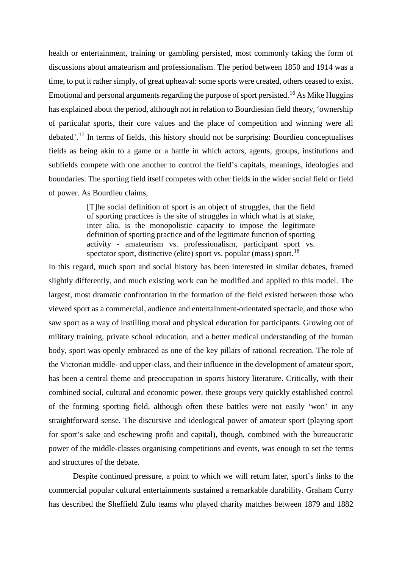health or entertainment, training or gambling persisted, most commonly taking the form of discussions about amateurism and professionalism. The period between 1850 and 1914 was a time, to put it rather simply, of great upheaval: some sports were created, others ceased to exist. Emotional and personal arguments regarding the purpose of sport persisted.<sup>[16](#page-22-15)</sup> As Mike Huggins has explained about the period, although not in relation to Bourdiesian field theory, 'ownership of particular sports, their core values and the place of competition and winning were all debated'.[17](#page-22-16) In terms of fields, this history should not be surprising: Bourdieu conceptualises fields as being akin to a game or a battle in which actors, agents, groups, institutions and subfields compete with one another to control the field's capitals, meanings, ideologies and boundaries. The sporting field itself competes with other fields in the wider social field or field of power. As Bourdieu claims,

> [T]he social definition of sport is an object of struggles, that the field of sporting practices is the site of struggles in which what is at stake, inter alia, is the monopolistic capacity to impose the legitimate definition of sporting practice and of the legitimate function of sporting activity - amateurism vs. professionalism, participant sport vs. spectator sport, distinctive (elite) sport vs. popular (mass) sport.<sup>[18](#page-22-17)</sup>

In this regard, much sport and social history has been interested in similar debates, framed slightly differently, and much existing work can be modified and applied to this model. The largest, most dramatic confrontation in the formation of the field existed between those who viewed sport as a commercial, audience and entertainment-orientated spectacle, and those who saw sport as a way of instilling moral and physical education for participants. Growing out of military training, private school education, and a better medical understanding of the human body, sport was openly embraced as one of the key pillars of rational recreation. The role of the Victorian middle- and upper-class, and their influence in the development of amateur sport, has been a central theme and preoccupation in sports history literature. Critically, with their combined social, cultural and economic power, these groups very quickly established control of the forming sporting field, although often these battles were not easily 'won' in any straightforward sense. The discursive and ideological power of amateur sport (playing sport for sport's sake and eschewing profit and capital), though, combined with the bureaucratic power of the middle-classes organising competitions and events, was enough to set the terms and structures of the debate.

Despite continued pressure, a point to which we will return later, sport's links to the commercial popular cultural entertainments sustained a remarkable durability. Graham Curry has described the Sheffield Zulu teams who played charity matches between 1879 and 1882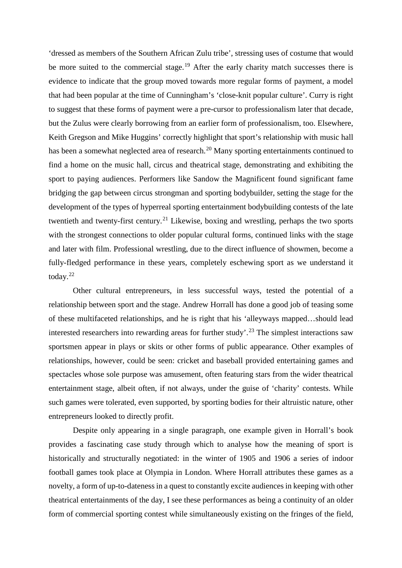'dressed as members of the Southern African Zulu tribe', stressing uses of costume that would be more suited to the commercial stage.<sup>[19](#page-22-18)</sup> After the early charity match successes there is evidence to indicate that the group moved towards more regular forms of payment, a model that had been popular at the time of Cunningham's 'close-knit popular culture'. Curry is right to suggest that these forms of payment were a pre-cursor to professionalism later that decade, but the Zulus were clearly borrowing from an earlier form of professionalism, too. Elsewhere, Keith Gregson and Mike Huggins' correctly highlight that sport's relationship with music hall has been a somewhat neglected area of research.<sup>[20](#page-22-19)</sup> Many sporting entertainments continued to find a home on the music hall, circus and theatrical stage, demonstrating and exhibiting the sport to paying audiences. Performers like Sandow the Magnificent found significant fame bridging the gap between circus strongman and sporting bodybuilder, setting the stage for the development of the types of hyperreal sporting entertainment bodybuilding contests of the late twentieth and twenty-first century.<sup>[21](#page-22-20)</sup> Likewise, boxing and wrestling, perhaps the two sports with the strongest connections to older popular cultural forms, continued links with the stage and later with film. Professional wrestling, due to the direct influence of showmen, become a fully-fledged performance in these years, completely eschewing sport as we understand it today.[22](#page-22-21)

Other cultural entrepreneurs, in less successful ways, tested the potential of a relationship between sport and the stage. Andrew Horrall has done a good job of teasing some of these multifaceted relationships, and he is right that his 'alleyways mapped…should lead interested researchers into rewarding areas for further study'.<sup>[23](#page-22-22)</sup> The simplest interactions saw sportsmen appear in plays or skits or other forms of public appearance. Other examples of relationships, however, could be seen: cricket and baseball provided entertaining games and spectacles whose sole purpose was amusement, often featuring stars from the wider theatrical entertainment stage, albeit often, if not always, under the guise of 'charity' contests. While such games were tolerated, even supported, by sporting bodies for their altruistic nature, other entrepreneurs looked to directly profit.

Despite only appearing in a single paragraph, one example given in Horrall's book provides a fascinating case study through which to analyse how the meaning of sport is historically and structurally negotiated: in the winter of 1905 and 1906 a series of indoor football games took place at Olympia in London. Where Horrall attributes these games as a novelty, a form of up-to-dateness in a quest to constantly excite audiences in keeping with other theatrical entertainments of the day, I see these performances as being a continuity of an older form of commercial sporting contest while simultaneously existing on the fringes of the field,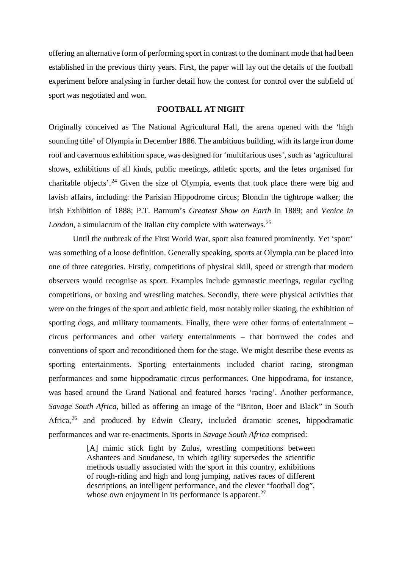offering an alternative form of performing sport in contrast to the dominant mode that had been established in the previous thirty years. First, the paper will lay out the details of the football experiment before analysing in further detail how the contest for control over the subfield of sport was negotiated and won.

#### **FOOTBALL AT NIGHT**

Originally conceived as The National Agricultural Hall, the arena opened with the 'high sounding title' of Olympia in December 1886. The ambitious building, with its large iron dome roof and cavernous exhibition space, was designed for 'multifarious uses', such as 'agricultural shows, exhibitions of all kinds, public meetings, athletic sports, and the fetes organised for charitable objects'.<sup>[24](#page-22-23)</sup> Given the size of Olympia, events that took place there were big and lavish affairs, including: the Parisian Hippodrome circus; Blondin the tightrope walker; the Irish Exhibition of 1888; P.T. Barnum's *Greatest Show on Earth* in 1889; and *Venice in London*, a simulacrum of the Italian city complete with waterways.<sup>[25](#page-22-24)</sup>

Until the outbreak of the First World War, sport also featured prominently. Yet 'sport' was something of a loose definition. Generally speaking, sports at Olympia can be placed into one of three categories. Firstly, competitions of physical skill, speed or strength that modern observers would recognise as sport. Examples include gymnastic meetings, regular cycling competitions, or boxing and wrestling matches. Secondly, there were physical activities that were on the fringes of the sport and athletic field, most notably roller skating, the exhibition of sporting dogs, and military tournaments. Finally, there were other forms of entertainment – circus performances and other variety entertainments – that borrowed the codes and conventions of sport and reconditioned them for the stage. We might describe these events as sporting entertainments. Sporting entertainments included chariot racing, strongman performances and some hippodramatic circus performances. One hippodrama, for instance, was based around the Grand National and featured horses 'racing'. Another performance, *Savage South Africa*, billed as offering an image of the "Briton, Boer and Black" in South Africa,<sup>[26](#page-22-25)</sup> and produced by Edwin Cleary, included dramatic scenes, hippodramatic performances and war re-enactments. Sports in *Savage South Africa* comprised:

> [A] mimic stick fight by Zulus, wrestling competitions between Ashantees and Soudanese, in which agility supersedes the scientific methods usually associated with the sport in this country, exhibitions of rough-riding and high and long jumping, natives races of different descriptions, an intelligent performance, and the clever "football dog", whose own enjoyment in its performance is apparent.<sup>[27](#page-22-26)</sup>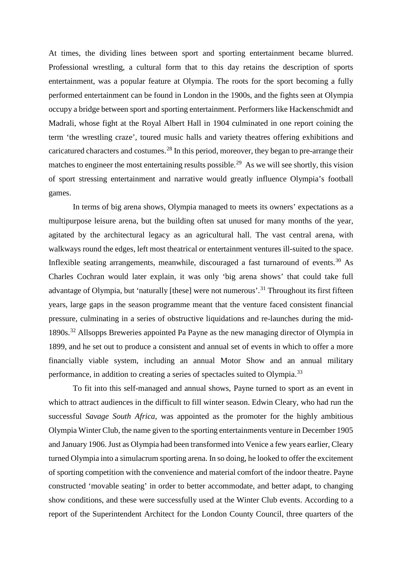At times, the dividing lines between sport and sporting entertainment became blurred. Professional wrestling, a cultural form that to this day retains the description of sports entertainment, was a popular feature at Olympia. The roots for the sport becoming a fully performed entertainment can be found in London in the 1900s, and the fights seen at Olympia occupy a bridge between sport and sporting entertainment. Performers like Hackenschmidt and Madrali, whose fight at the Royal Albert Hall in 1904 culminated in one report coining the term 'the wrestling craze', toured music halls and variety theatres offering exhibitions and caricatured characters and costumes.<sup>[28](#page-22-27)</sup> In this period, moreover, they began to pre-arrange their matches to engineer the most entertaining results possible.<sup>[29](#page-22-28)</sup> As we will see shortly, this vision of sport stressing entertainment and narrative would greatly influence Olympia's football games.

In terms of big arena shows, Olympia managed to meets its owners' expectations as a multipurpose leisure arena, but the building often sat unused for many months of the year, agitated by the architectural legacy as an agricultural hall. The vast central arena, with walkways round the edges, left most theatrical or entertainment ventures ill-suited to the space. Inflexible seating arrangements, meanwhile, discouraged a fast turnaround of events.<sup>[30](#page-22-29)</sup> As Charles Cochran would later explain, it was only 'big arena shows' that could take full advantage of Olympia, but 'naturally [these] were not numerous'.<sup>[31](#page-22-30)</sup> Throughout its first fifteen years, large gaps in the season programme meant that the venture faced consistent financial pressure, culminating in a series of obstructive liquidations and re-launches during the mid-1890s.<sup>[32](#page-22-31)</sup> Allsopps Breweries appointed Pa Payne as the new managing director of Olympia in 1899, and he set out to produce a consistent and annual set of events in which to offer a more financially viable system, including an annual Motor Show and an annual military performance, in addition to creating a series of spectacles suited to Olympia.<sup>[33](#page-22-32)</sup>

To fit into this self-managed and annual shows, Payne turned to sport as an event in which to attract audiences in the difficult to fill winter season. Edwin Cleary, who had run the successful *Savage South Africa*, was appointed as the promoter for the highly ambitious Olympia Winter Club, the name given to the sporting entertainments venture in December 1905 and January 1906. Just as Olympia had been transformed into Venice a few years earlier, Cleary turned Olympia into a simulacrum sporting arena. In so doing, he looked to offer the excitement of sporting competition with the convenience and material comfort of the indoor theatre. Payne constructed 'movable seating' in order to better accommodate, and better adapt, to changing show conditions, and these were successfully used at the Winter Club events. According to a report of the Superintendent Architect for the London County Council, three quarters of the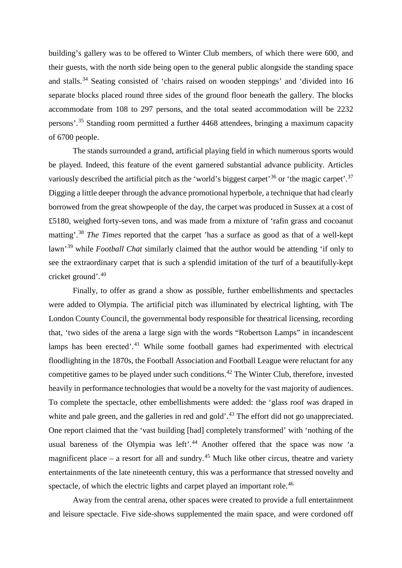building's gallery was to be offered to Winter Club members, of which there were 600, and their guests, with the north side being open to the general public alongside the standing space and stalls.<sup>[34](#page-23-0)</sup> Seating consisted of 'chairs raised on wooden steppings' and 'divided into 16 separate blocks placed round three sides of the ground floor beneath the gallery. The blocks accommodate from 108 to 297 persons, and the total seated accommodation will be 2232 persons'.[35](#page-23-1) Standing room permitted a further 4468 attendees, bringing a maximum capacity of 6700 people.

The stands surrounded a grand, artificial playing field in which numerous sports would be played. Indeed, this feature of the event garnered substantial advance publicity. Articles variously described the artificial pitch as the 'world's biggest carpet'.<sup>[36](#page-23-2)</sup> or 'the magic carpet'.<sup>[37](#page-23-3)</sup> Digging a little deeper through the advance promotional hyperbole, a technique that had clearly borrowed from the great showpeople of the day, the carpet was produced in Sussex at a cost of £5180, weighed forty-seven tons, and was made from a mixture of 'rafin grass and cocoanut matting'.[38](#page-23-4) *The Times* reported that the carpet 'has a surface as good as that of a well-kept lawn'[39](#page-23-5) while *Football Chat* similarly claimed that the author would be attending 'if only to see the extraordinary carpet that is such a splendid imitation of the turf of a beautifully-kept cricket ground'.[40](#page-23-6)

Finally, to offer as grand a show as possible, further embellishments and spectacles were added to Olympia. The artificial pitch was illuminated by electrical lighting, with The London County Council, the governmental body responsible for theatrical licensing, recording that, 'two sides of the arena a large sign with the words "Robertson Lamps" in incandescent lamps has been erected'.<sup>[41](#page-23-7)</sup> While some football games had experimented with electrical floodlighting in the 1870s, the Football Association and Football League were reluctant for any competitive games to be played under such conditions.[42](#page-23-8) The Winter Club, therefore, invested heavily in performance technologies that would be a novelty for the vast majority of audiences. To complete the spectacle, other embellishments were added: the 'glass roof was draped in white and pale green, and the galleries in red and gold'.<sup>[43](#page-23-9)</sup> The effort did not go unappreciated. One report claimed that the 'vast building [had] completely transformed' with 'nothing of the usual bareness of the Olympia was left'.<sup>[44](#page-23-10)</sup> Another offered that the space was now 'a magnificent place – a resort for all and sundry.<sup>[45](#page-23-11)</sup> Much like other circus, theatre and variety entertainments of the late nineteenth century, this was a performance that stressed novelty and spectacle, of which the electric lights and carpet played an important role.<sup>[46](#page-23-12)</sup>

Away from the central arena, other spaces were created to provide a full entertainment and leisure spectacle. Five side-shows supplemented the main space, and were cordoned off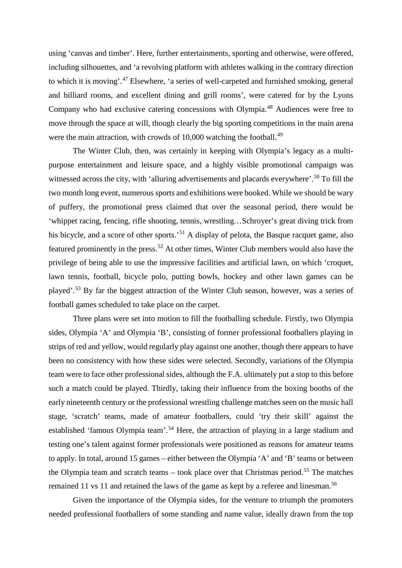using 'canvas and timber'. Here, further entertainments, sporting and otherwise, were offered, including silhouettes, and 'a revolving platform with athletes walking in the contrary direction to which it is moving'.[47](#page-23-13) Elsewhere, 'a series of well-carpeted and furnished smoking, general and billiard rooms, and excellent dining and grill rooms', were catered for by the Lyons Company who had exclusive catering concessions with Olympia.[48](#page-23-14) Audiences were free to move through the space at will, though clearly the big sporting competitions in the main arena were the main attraction, with crowds of 10,000 watching the football.<sup>49</sup>

The Winter Club, then, was certainly in keeping with Olympia's legacy as a multipurpose entertainment and leisure space, and a highly visible promotional campaign was witnessed across the city, with 'alluring advertisements and placards everywhere'.<sup>[50](#page-23-16)</sup> To fill the two month long event, numerous sports and exhibitions were booked. While we should be wary of puffery, the promotional press claimed that over the seasonal period, there would be 'whippet racing, fencing, rifle shooting, tennis, wrestling…Schroyer's great diving trick from his bicycle, and a score of other sports.<sup>[51](#page-23-17)</sup> A display of pelota, the Basque racquet game, also featured prominently in the press.<sup>[52](#page-23-18)</sup> At other times, Winter Club members would also have the privilege of being able to use the impressive facilities and artificial lawn, on which 'croquet, lawn tennis, football, bicycle polo, putting bowls, hockey and other lawn games can be played'.[53](#page-23-19) By far the biggest attraction of the Winter Club season, however, was a series of football games scheduled to take place on the carpet.

Three plans were set into motion to fill the footballing schedule. Firstly, two Olympia sides, Olympia 'A' and Olympia 'B', consisting of former professional footballers playing in strips of red and yellow, would regularly play against one another, though there appears to have been no consistency with how these sides were selected. Secondly, variations of the Olympia team were to face other professional sides, although the F.A. ultimately put a stop to this before such a match could be played. Thirdly, taking their influence from the boxing booths of the early nineteenth century or the professional wrestling challenge matches seen on the music hall stage, 'scratch' teams, made of amateur footballers, could 'try their skill' against the established 'famous Olympia team'.<sup>[54](#page-23-20)</sup> Here, the attraction of playing in a large stadium and testing one's talent against former professionals were positioned as reasons for amateur teams to apply. In total, around 15 games – either between the Olympia 'A' and 'B' teams or between the Olympia team and scratch teams – took place over that Christmas period.<sup>[55](#page-23-21)</sup> The matches remained 11 vs 11 and retained the laws of the game as kept by a referee and linesman.<sup>[56](#page-23-22)</sup>

Given the importance of the Olympia sides, for the venture to triumph the promoters needed professional footballers of some standing and name value, ideally drawn from the top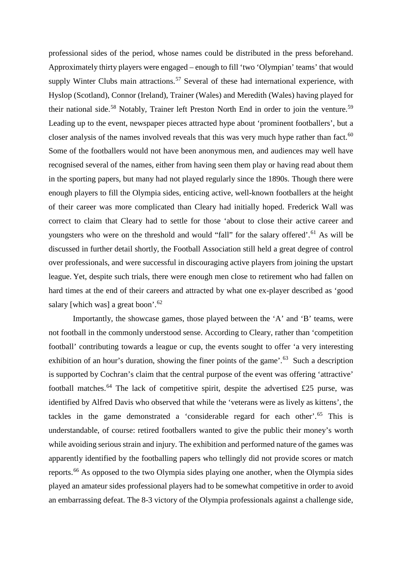professional sides of the period, whose names could be distributed in the press beforehand. Approximately thirty players were engaged – enough to fill 'two 'Olympian' teams' that would supply Winter Clubs main attractions.<sup>[57](#page-23-23)</sup> Several of these had international experience, with Hyslop (Scotland), Connor (Ireland), Trainer (Wales) and Meredith (Wales) having played for their national side.<sup>[58](#page-23-24)</sup> Notably, Trainer left Preston North End in order to join the venture.<sup>[59](#page-23-25)</sup> Leading up to the event, newspaper pieces attracted hype about 'prominent footballers', but a closer analysis of the names involved reveals that this was very much hype rather than fact.<sup>[60](#page-23-26)</sup> Some of the footballers would not have been anonymous men, and audiences may well have recognised several of the names, either from having seen them play or having read about them in the sporting papers, but many had not played regularly since the 1890s. Though there were enough players to fill the Olympia sides, enticing active, well-known footballers at the height of their career was more complicated than Cleary had initially hoped. Frederick Wall was correct to claim that Cleary had to settle for those 'about to close their active career and youngsters who were on the threshold and would "fall" for the salary offered'.<sup>[61](#page-23-27)</sup> As will be discussed in further detail shortly, the Football Association still held a great degree of control over professionals, and were successful in discouraging active players from joining the upstart league. Yet, despite such trials, there were enough men close to retirement who had fallen on hard times at the end of their careers and attracted by what one ex-player described as 'good salary [which was] a great boon'. $62$ 

Importantly, the showcase games, those played between the 'A' and 'B' teams, were not football in the commonly understood sense. According to Cleary, rather than 'competition football' contributing towards a league or cup, the events sought to offer 'a very interesting exhibition of an hour's duration, showing the finer points of the game'.<sup>[63](#page-23-29)</sup> Such a description is supported by Cochran's claim that the central purpose of the event was offering 'attractive' football matches.<sup>[64](#page-23-30)</sup> The lack of competitive spirit, despite the advertised £25 purse, was identified by Alfred Davis who observed that while the 'veterans were as lively as kittens', the tackles in the game demonstrated a 'considerable regard for each other'.<sup>[65](#page-23-31)</sup> This is understandable, of course: retired footballers wanted to give the public their money's worth while avoiding serious strain and injury. The exhibition and performed nature of the games was apparently identified by the footballing papers who tellingly did not provide scores or match reports.[66](#page-23-32) As opposed to the two Olympia sides playing one another, when the Olympia sides played an amateur sides professional players had to be somewhat competitive in order to avoid an embarrassing defeat. The 8-3 victory of the Olympia professionals against a challenge side,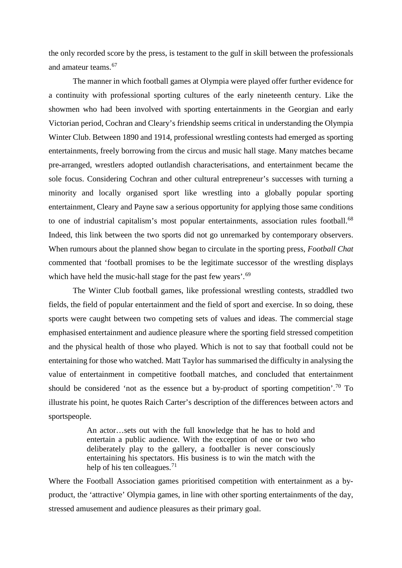the only recorded score by the press, is testament to the gulf in skill between the professionals and amateur teams.[67](#page-23-33)

The manner in which football games at Olympia were played offer further evidence for a continuity with professional sporting cultures of the early nineteenth century. Like the showmen who had been involved with sporting entertainments in the Georgian and early Victorian period, Cochran and Cleary's friendship seems critical in understanding the Olympia Winter Club. Between 1890 and 1914, professional wrestling contests had emerged as sporting entertainments, freely borrowing from the circus and music hall stage. Many matches became pre-arranged, wrestlers adopted outlandish characterisations, and entertainment became the sole focus. Considering Cochran and other cultural entrepreneur's successes with turning a minority and locally organised sport like wrestling into a globally popular sporting entertainment, Cleary and Payne saw a serious opportunity for applying those same conditions to one of industrial capitalism's most popular entertainments, association rules football.<sup>[68](#page-23-34)</sup> Indeed, this link between the two sports did not go unremarked by contemporary observers. When rumours about the planned show began to circulate in the sporting press, *Football Chat* commented that 'football promises to be the legitimate successor of the wrestling displays which have held the music-hall stage for the past few years'.<sup>[69](#page-23-35)</sup>

The Winter Club football games, like professional wrestling contests, straddled two fields, the field of popular entertainment and the field of sport and exercise. In so doing, these sports were caught between two competing sets of values and ideas. The commercial stage emphasised entertainment and audience pleasure where the sporting field stressed competition and the physical health of those who played. Which is not to say that football could not be entertaining for those who watched. Matt Taylor has summarised the difficulty in analysing the value of entertainment in competitive football matches, and concluded that entertainment should be considered 'not as the essence but a by-product of sporting competition'.<sup>[70](#page-23-36)</sup> To illustrate his point, he quotes Raich Carter's description of the differences between actors and sportspeople.

> An actor…sets out with the full knowledge that he has to hold and entertain a public audience. With the exception of one or two who deliberately play to the gallery, a footballer is never consciously entertaining his spectators. His business is to win the match with the help of his ten colleagues.<sup>[71](#page-23-37)</sup>

Where the Football Association games prioritised competition with entertainment as a byproduct, the 'attractive' Olympia games, in line with other sporting entertainments of the day, stressed amusement and audience pleasures as their primary goal.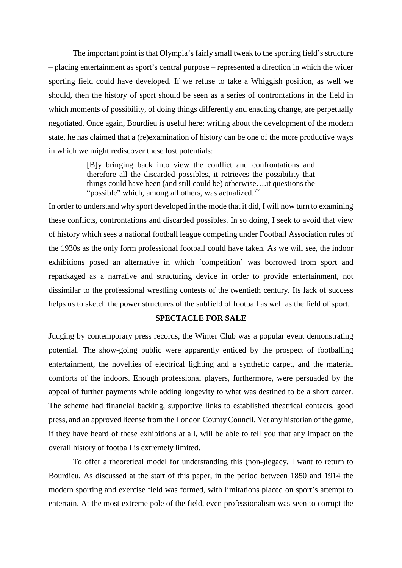The important point is that Olympia's fairly small tweak to the sporting field's structure – placing entertainment as sport's central purpose – represented a direction in which the wider sporting field could have developed. If we refuse to take a Whiggish position, as well we should, then the history of sport should be seen as a series of confrontations in the field in which moments of possibility, of doing things differently and enacting change, are perpetually negotiated. Once again, Bourdieu is useful here: writing about the development of the modern state, he has claimed that a (re)examination of history can be one of the more productive ways in which we might rediscover these lost potentials:

> [B]y bringing back into view the conflict and confrontations and therefore all the discarded possibles, it retrieves the possibility that things could have been (and still could be) otherwise….it questions the "possible" which, among all others, was actualized.<sup>[72](#page-23-38)</sup>

In order to understand why sport developed in the mode that it did, I will now turn to examining these conflicts, confrontations and discarded possibles. In so doing, I seek to avoid that view of history which sees a national football league competing under Football Association rules of the 1930s as the only form professional football could have taken. As we will see, the indoor exhibitions posed an alternative in which 'competition' was borrowed from sport and repackaged as a narrative and structuring device in order to provide entertainment, not dissimilar to the professional wrestling contests of the twentieth century. Its lack of success helps us to sketch the power structures of the subfield of football as well as the field of sport.

#### **SPECTACLE FOR SALE**

Judging by contemporary press records, the Winter Club was a popular event demonstrating potential. The show-going public were apparently enticed by the prospect of footballing entertainment, the novelties of electrical lighting and a synthetic carpet, and the material comforts of the indoors. Enough professional players, furthermore, were persuaded by the appeal of further payments while adding longevity to what was destined to be a short career. The scheme had financial backing, supportive links to established theatrical contacts, good press, and an approved license from the London County Council. Yet any historian of the game, if they have heard of these exhibitions at all, will be able to tell you that any impact on the overall history of football is extremely limited.

To offer a theoretical model for understanding this (non-)legacy, I want to return to Bourdieu. As discussed at the start of this paper, in the period between 1850 and 1914 the modern sporting and exercise field was formed, with limitations placed on sport's attempt to entertain. At the most extreme pole of the field, even professionalism was seen to corrupt the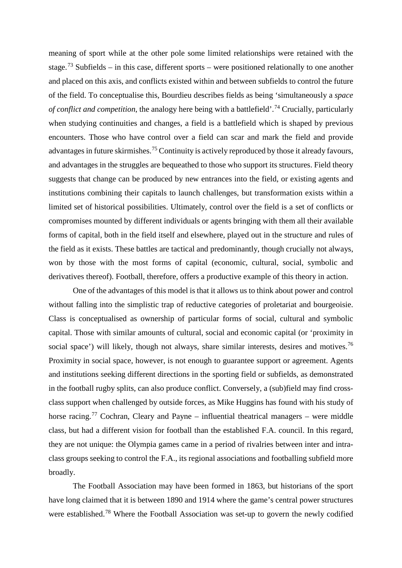meaning of sport while at the other pole some limited relationships were retained with the stage.<sup>[73](#page-23-39)</sup> Subfields – in this case, different sports – were positioned relationally to one another and placed on this axis, and conflicts existed within and between subfields to control the future of the field. To conceptualise this, Bourdieu describes fields as being 'simultaneously a *space of conflict and competition*, the analogy here being with a battlefield'.<sup>[74](#page-24-0)</sup> Crucially, particularly when studying continuities and changes, a field is a battlefield which is shaped by previous encounters. Those who have control over a field can scar and mark the field and provide advantages in future skirmishes.<sup>[75](#page-24-1)</sup> Continuity is actively reproduced by those it already favours, and advantages in the struggles are bequeathed to those who support its structures. Field theory suggests that change can be produced by new entrances into the field, or existing agents and institutions combining their capitals to launch challenges, but transformation exists within a limited set of historical possibilities. Ultimately, control over the field is a set of conflicts or compromises mounted by different individuals or agents bringing with them all their available forms of capital, both in the field itself and elsewhere, played out in the structure and rules of the field as it exists. These battles are tactical and predominantly, though crucially not always, won by those with the most forms of capital (economic, cultural, social, symbolic and derivatives thereof). Football, therefore, offers a productive example of this theory in action.

One of the advantages of this model is that it allows us to think about power and control without falling into the simplistic trap of reductive categories of proletariat and bourgeoisie. Class is conceptualised as ownership of particular forms of social, cultural and symbolic capital. Those with similar amounts of cultural, social and economic capital (or 'proximity in social space') will likely, though not always, share similar interests, desires and motives.<sup>[76](#page-24-2)</sup> Proximity in social space, however, is not enough to guarantee support or agreement. Agents and institutions seeking different directions in the sporting field or subfields, as demonstrated in the football rugby splits, can also produce conflict. Conversely, a (sub)field may find crossclass support when challenged by outside forces, as Mike Huggins has found with his study of horse racing.<sup>[77](#page-24-3)</sup> Cochran, Cleary and Payne – influential theatrical managers – were middle class, but had a different vision for football than the established F.A. council. In this regard, they are not unique: the Olympia games came in a period of rivalries between inter and intraclass groups seeking to control the F.A., its regional associations and footballing subfield more broadly.

The Football Association may have been formed in 1863, but historians of the sport have long claimed that it is between 1890 and 1914 where the game's central power structures were established.<sup>[78](#page-24-4)</sup> Where the Football Association was set-up to govern the newly codified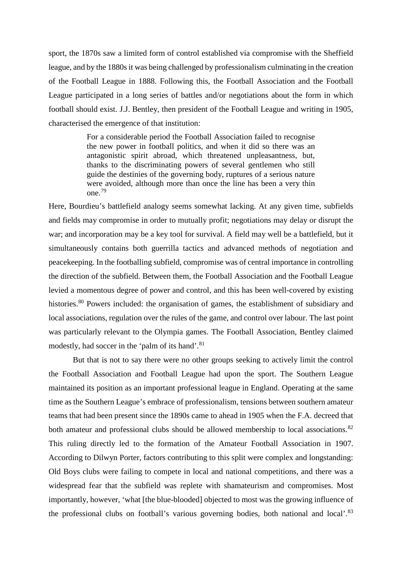sport, the 1870s saw a limited form of control established via compromise with the Sheffield league, and by the 1880s it was being challenged by professionalism culminating in the creation of the Football League in 1888. Following this, the Football Association and the Football League participated in a long series of battles and/or negotiations about the form in which football should exist. J.J. Bentley, then president of the Football League and writing in 1905, characterised the emergence of that institution:

> For a considerable period the Football Association failed to recognise the new power in football politics, and when it did so there was an antagonistic spirit abroad, which threatened unpleasantness, but, thanks to the discriminating powers of several gentlemen who still guide the destinies of the governing body, ruptures of a serious nature were avoided, although more than once the line has been a very thin one.[79](#page-24-5)

Here, Bourdieu's battlefield analogy seems somewhat lacking. At any given time, subfields and fields may compromise in order to mutually profit; negotiations may delay or disrupt the war; and incorporation may be a key tool for survival. A field may well be a battlefield, but it simultaneously contains both guerrilla tactics and advanced methods of negotiation and peacekeeping. In the footballing subfield, compromise was of central importance in controlling the direction of the subfield. Between them, the Football Association and the Football League levied a momentous degree of power and control, and this has been well-covered by existing histories.<sup>[80](#page-24-6)</sup> Powers included: the organisation of games, the establishment of subsidiary and local associations, regulation over the rules of the game, and control over labour. The last point was particularly relevant to the Olympia games. The Football Association, Bentley claimed modestly, had soccer in the 'palm of its hand'.<sup>[81](#page-24-7)</sup>

But that is not to say there were no other groups seeking to actively limit the control the Football Association and Football League had upon the sport. The Southern League maintained its position as an important professional league in England. Operating at the same time as the Southern League's embrace of professionalism, tensions between southern amateur teams that had been present since the 1890s came to ahead in 1905 when the F.A. decreed that both amateur and professional clubs should be allowed membership to local associations.<sup>[82](#page-24-8)</sup> This ruling directly led to the formation of the Amateur Football Association in 1907. According to Dilwyn Porter, factors contributing to this split were complex and longstanding: Old Boys clubs were failing to compete in local and national competitions, and there was a widespread fear that the subfield was replete with shamateurism and compromises. Most importantly, however, 'what [the blue-blooded] objected to most was the growing influence of the professional clubs on football's various governing bodies, both national and local'.<sup>[83](#page-24-9)</sup>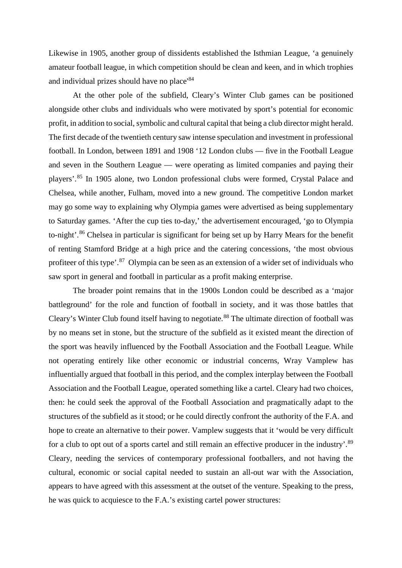Likewise in 1905, another group of dissidents established the Isthmian League, 'a genuinely amateur football league, in which competition should be clean and keen, and in which trophies and individual prizes should have no place'[84](#page-24-10)

At the other pole of the subfield, Cleary's Winter Club games can be positioned alongside other clubs and individuals who were motivated by sport's potential for economic profit, in addition to social, symbolic and cultural capital that being a club director might herald. The first decade of the twentieth century saw intense speculation and investment in professional football. In London, between 1891 and 1908 '12 London clubs — five in the Football League and seven in the Southern League — were operating as limited companies and paying their players'.<sup>[85](#page-24-11)</sup> In 1905 alone, two London professional clubs were formed, Crystal Palace and Chelsea, while another, Fulham, moved into a new ground. The competitive London market may go some way to explaining why Olympia games were advertised as being supplementary to Saturday games. 'After the cup ties to-day,' the advertisement encouraged, 'go to Olympia to-night'.<sup>[86](#page-24-12)</sup> Chelsea in particular is significant for being set up by Harry Mears for the benefit of renting Stamford Bridge at a high price and the catering concessions, 'the most obvious profiteer of this type'.<sup>87</sup> Olympia can be seen as an extension of a wider set of individuals who saw sport in general and football in particular as a profit making enterprise.

The broader point remains that in the 1900s London could be described as a 'major battleground' for the role and function of football in society, and it was those battles that Cleary's Winter Club found itself having to negotiate.<sup>[88](#page-24-14)</sup> The ultimate direction of football was by no means set in stone, but the structure of the subfield as it existed meant the direction of the sport was heavily influenced by the Football Association and the Football League. While not operating entirely like other economic or industrial concerns, Wray Vamplew has influentially argued that football in this period, and the complex interplay between the Football Association and the Football League, operated something like a cartel. Cleary had two choices, then: he could seek the approval of the Football Association and pragmatically adapt to the structures of the subfield as it stood; or he could directly confront the authority of the F.A. and hope to create an alternative to their power. Vamplew suggests that it 'would be very difficult for a club to opt out of a sports cartel and still remain an effective producer in the industry'.<sup>[89](#page-24-15)</sup> Cleary, needing the services of contemporary professional footballers, and not having the cultural, economic or social capital needed to sustain an all-out war with the Association, appears to have agreed with this assessment at the outset of the venture. Speaking to the press, he was quick to acquiesce to the F.A.'s existing cartel power structures: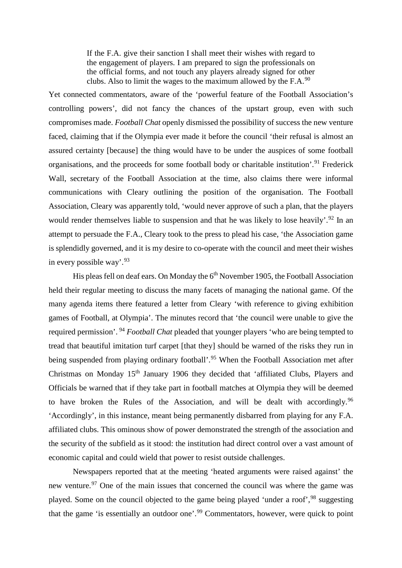If the F.A. give their sanction I shall meet their wishes with regard to the engagement of players. I am prepared to sign the professionals on the official forms, and not touch any players already signed for other clubs. Also to limit the wages to the maximum allowed by the  $F.A.^{90}$  $F.A.^{90}$  $F.A.^{90}$ 

Yet connected commentators, aware of the 'powerful feature of the Football Association's controlling powers', did not fancy the chances of the upstart group, even with such compromises made. *Football Chat* openly dismissed the possibility of success the new venture faced, claiming that if the Olympia ever made it before the council 'their refusal is almost an assured certainty [because] the thing would have to be under the auspices of some football organisations, and the proceeds for some football body or charitable institution'.<sup>[91](#page-24-17)</sup> Frederick Wall, secretary of the Football Association at the time, also claims there were informal communications with Cleary outlining the position of the organisation. The Football Association, Cleary was apparently told, 'would never approve of such a plan, that the players would render themselves liable to suspension and that he was likely to lose heavily'.<sup>[92](#page-24-18)</sup> In an attempt to persuade the F.A., Cleary took to the press to plead his case, 'the Association game is splendidly governed, and it is my desire to co-operate with the council and meet their wishes in every possible way'.<sup>[93](#page-24-19)</sup>

His pleas fell on deaf ears. On Monday the  $6<sup>th</sup>$  November 1905, the Football Association held their regular meeting to discuss the many facets of managing the national game. Of the many agenda items there featured a letter from Cleary 'with reference to giving exhibition games of Football, at Olympia'. The minutes record that 'the council were unable to give the required permission'. [94](#page-24-20) *Football Chat* pleaded that younger players 'who are being tempted to tread that beautiful imitation turf carpet [that they] should be warned of the risks they run in being suspended from playing ordinary football'.<sup>[95](#page-24-21)</sup> When the Football Association met after Christmas on Monday 15<sup>th</sup> January 1906 they decided that 'affiliated Clubs, Players and Officials be warned that if they take part in football matches at Olympia they will be deemed to have broken the Rules of the Association, and will be dealt with accordingly.<sup>[96](#page-24-22)</sup> 'Accordingly', in this instance, meant being permanently disbarred from playing for any F.A. affiliated clubs. This ominous show of power demonstrated the strength of the association and the security of the subfield as it stood: the institution had direct control over a vast amount of economic capital and could wield that power to resist outside challenges.

Newspapers reported that at the meeting 'heated arguments were raised against' the new venture.<sup>[97](#page-24-23)</sup> One of the main issues that concerned the council was where the game was played. Some on the council objected to the game being played 'under a roof',[98](#page-24-24) suggesting that the game 'is essentially an outdoor one'.[99](#page-24-25) Commentators, however, were quick to point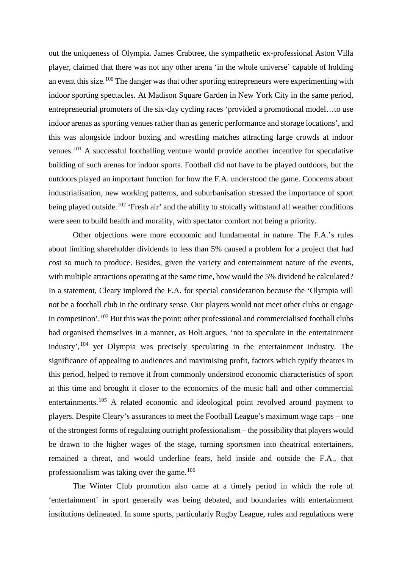out the uniqueness of Olympia. James Crabtree, the sympathetic ex-professional Aston Villa player, claimed that there was not any other arena 'in the whole universe' capable of holding an event this size.<sup>[100](#page-24-26)</sup> The danger was that other sporting entrepreneurs were experimenting with indoor sporting spectacles. At Madison Square Garden in New York City in the same period, entrepreneurial promoters of the six-day cycling races 'provided a promotional model…to use indoor arenas as sporting venues rather than as generic performance and storage locations', and this was alongside indoor boxing and wrestling matches attracting large crowds at indoor venues.<sup>[101](#page-24-27)</sup> A successful footballing venture would provide another incentive for speculative building of such arenas for indoor sports. Football did not have to be played outdoors, but the outdoors played an important function for how the F.A. understood the game. Concerns about industrialisation, new working patterns, and suburbanisation stressed the importance of sport being played outside.<sup>[102](#page-24-28)</sup> 'Fresh air' and the ability to stoically withstand all weather conditions were seen to build health and morality, with spectator comfort not being a priority.

Other objections were more economic and fundamental in nature. The F.A.'s rules about limiting shareholder dividends to less than 5% caused a problem for a project that had cost so much to produce. Besides, given the variety and entertainment nature of the events, with multiple attractions operating at the same time, how would the 5% dividend be calculated? In a statement, Cleary implored the F.A. for special consideration because the 'Olympia will not be a football club in the ordinary sense. Our players would not meet other clubs or engage in competition'.<sup>[103](#page-24-29)</sup> But this was the point: other professional and commercialised football clubs had organised themselves in a manner, as Holt argues, 'not to speculate in the entertainment industry',[104](#page-24-30) yet Olympia was precisely speculating in the entertainment industry. The significance of appealing to audiences and maximising profit, factors which typify theatres in this period, helped to remove it from commonly understood economic characteristics of sport at this time and brought it closer to the economics of the music hall and other commercial entertainments.<sup>[105](#page-24-31)</sup> A related economic and ideological point revolved around payment to players. Despite Cleary's assurances to meet the Football League's maximum wage caps – one of the strongest forms of regulating outright professionalism – the possibility that players would be drawn to the higher wages of the stage, turning sportsmen into theatrical entertainers, remained a threat, and would underline fears, held inside and outside the F.A., that professionalism was taking over the game.<sup>[106](#page-24-32)</sup>

The Winter Club promotion also came at a timely period in which the role of 'entertainment' in sport generally was being debated, and boundaries with entertainment institutions delineated. In some sports, particularly Rugby League, rules and regulations were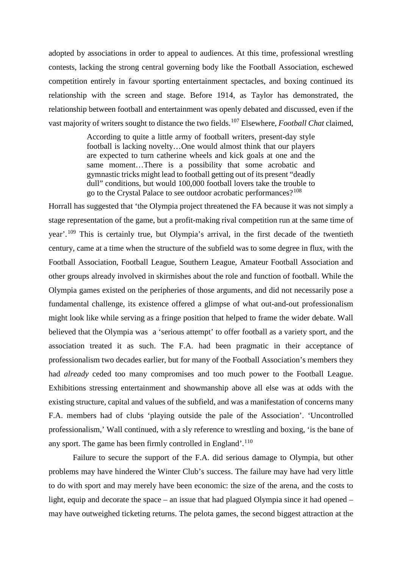adopted by associations in order to appeal to audiences. At this time, professional wrestling contests, lacking the strong central governing body like the Football Association, eschewed competition entirely in favour sporting entertainment spectacles, and boxing continued its relationship with the screen and stage. Before 1914, as Taylor has demonstrated, the relationship between football and entertainment was openly debated and discussed, even if the vast majority of writers sought to distance the two fields.[107](#page-24-33) Elsewhere, *Football Chat* claimed,

> According to quite a little army of football writers, present-day style football is lacking novelty…One would almost think that our players are expected to turn catherine wheels and kick goals at one and the same moment…There is a possibility that some acrobatic and gymnastic tricks might lead to football getting out of its present "deadly dull" conditions, but would 100,000 football lovers take the trouble to go to the Crystal Palace to see outdoor acrobatic performances?[108](#page-24-34)

Horrall has suggested that 'the Olympia project threatened the FA because it was not simply a stage representation of the game, but a profit-making rival competition run at the same time of year'.[109](#page-24-35) This is certainly true, but Olympia's arrival, in the first decade of the twentieth century, came at a time when the structure of the subfield was to some degree in flux, with the Football Association, Football League, Southern League, Amateur Football Association and other groups already involved in skirmishes about the role and function of football. While the Olympia games existed on the peripheries of those arguments, and did not necessarily pose a fundamental challenge, its existence offered a glimpse of what out-and-out professionalism might look like while serving as a fringe position that helped to frame the wider debate. Wall believed that the Olympia was a 'serious attempt' to offer football as a variety sport, and the association treated it as such. The F.A. had been pragmatic in their acceptance of professionalism two decades earlier, but for many of the Football Association's members they had *already* ceded too many compromises and too much power to the Football League. Exhibitions stressing entertainment and showmanship above all else was at odds with the existing structure, capital and values of the subfield, and was a manifestation of concerns many F.A. members had of clubs 'playing outside the pale of the Association'. 'Uncontrolled professionalism,' Wall continued, with a sly reference to wrestling and boxing, 'is the bane of any sport. The game has been firmly controlled in England'.<sup>[110](#page-24-36)</sup>

Failure to secure the support of the F.A. did serious damage to Olympia, but other problems may have hindered the Winter Club's success. The failure may have had very little to do with sport and may merely have been economic: the size of the arena, and the costs to light, equip and decorate the space – an issue that had plagued Olympia since it had opened – may have outweighed ticketing returns. The pelota games, the second biggest attraction at the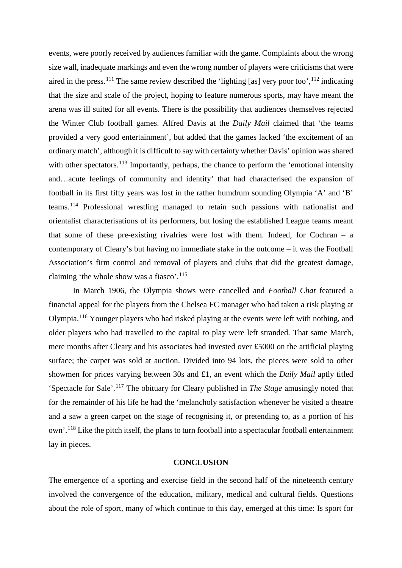events, were poorly received by audiences familiar with the game. Complaints about the wrong size wall, inadequate markings and even the wrong number of players were criticisms that were aired in the press.<sup>[111](#page-24-37)</sup> The same review described the 'lighting [as] very poor too',  $\frac{1}{2}$  indicating that the size and scale of the project, hoping to feature numerous sports, may have meant the arena was ill suited for all events. There is the possibility that audiences themselves rejected the Winter Club football games. Alfred Davis at the *Daily Mail* claimed that 'the teams provided a very good entertainment', but added that the games lacked 'the excitement of an ordinary match', although it is difficult to say with certainty whether Davis' opinion was shared with other spectators.<sup>[113](#page-25-1)</sup> Importantly, perhaps, the chance to perform the 'emotional intensity and…acute feelings of community and identity' that had characterised the expansion of football in its first fifty years was lost in the rather humdrum sounding Olympia 'A' and 'B' teams. [114](#page-25-2) Professional wrestling managed to retain such passions with nationalist and orientalist characterisations of its performers, but losing the established League teams meant that some of these pre-existing rivalries were lost with them. Indeed, for Cochran – a contemporary of Cleary's but having no immediate stake in the outcome – it was the Football Association's firm control and removal of players and clubs that did the greatest damage, claiming 'the whole show was a fiasco'.<sup>[115](#page-25-3)</sup>

In March 1906, the Olympia shows were cancelled and *Football Chat* featured a financial appeal for the players from the Chelsea FC manager who had taken a risk playing at Olympia.[116](#page-25-4) Younger players who had risked playing at the events were left with nothing, and older players who had travelled to the capital to play were left stranded. That same March, mere months after Cleary and his associates had invested over £5000 on the artificial playing surface; the carpet was sold at auction. Divided into 94 lots, the pieces were sold to other showmen for prices varying between 30s and £1, an event which the *Daily Mail* aptly titled 'Spectacle for Sale'.[117](#page-25-5) The obituary for Cleary published in *The Stage* amusingly noted that for the remainder of his life he had the 'melancholy satisfaction whenever he visited a theatre and a saw a green carpet on the stage of recognising it, or pretending to, as a portion of his own'.[118](#page-25-6) Like the pitch itself, the plans to turn football into a spectacular football entertainment lay in pieces.

#### **CONCLUSION**

The emergence of a sporting and exercise field in the second half of the nineteenth century involved the convergence of the education, military, medical and cultural fields. Questions about the role of sport, many of which continue to this day, emerged at this time: Is sport for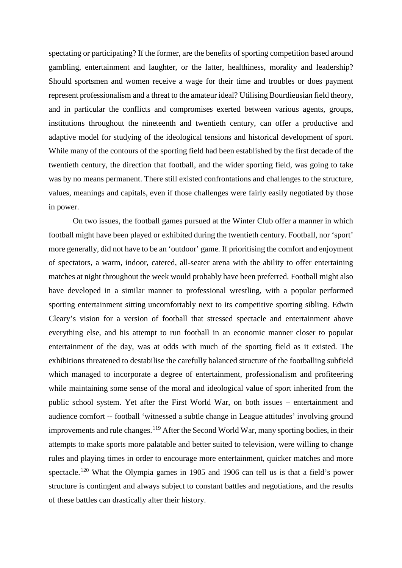spectating or participating? If the former, are the benefits of sporting competition based around gambling, entertainment and laughter, or the latter, healthiness, morality and leadership? Should sportsmen and women receive a wage for their time and troubles or does payment represent professionalism and a threat to the amateur ideal? Utilising Bourdieusian field theory, and in particular the conflicts and compromises exerted between various agents, groups, institutions throughout the nineteenth and twentieth century, can offer a productive and adaptive model for studying of the ideological tensions and historical development of sport. While many of the contours of the sporting field had been established by the first decade of the twentieth century, the direction that football, and the wider sporting field, was going to take was by no means permanent. There still existed confrontations and challenges to the structure, values, meanings and capitals, even if those challenges were fairly easily negotiated by those in power.

On two issues, the football games pursued at the Winter Club offer a manner in which football might have been played or exhibited during the twentieth century. Football, nor 'sport' more generally, did not have to be an 'outdoor' game. If prioritising the comfort and enjoyment of spectators, a warm, indoor, catered, all-seater arena with the ability to offer entertaining matches at night throughout the week would probably have been preferred. Football might also have developed in a similar manner to professional wrestling, with a popular performed sporting entertainment sitting uncomfortably next to its competitive sporting sibling. Edwin Cleary's vision for a version of football that stressed spectacle and entertainment above everything else, and his attempt to run football in an economic manner closer to popular entertainment of the day, was at odds with much of the sporting field as it existed. The exhibitions threatened to destabilise the carefully balanced structure of the footballing subfield which managed to incorporate a degree of entertainment, professionalism and profiteering while maintaining some sense of the moral and ideological value of sport inherited from the public school system. Yet after the First World War, on both issues – entertainment and audience comfort -- football 'witnessed a subtle change in League attitudes' involving ground improvements and rule changes.<sup>[119](#page-25-7)</sup> After the Second World War, many sporting bodies, in their attempts to make sports more palatable and better suited to television, were willing to change rules and playing times in order to encourage more entertainment, quicker matches and more spectacle.<sup>[120](#page-25-8)</sup> What the Olympia games in 1905 and 1906 can tell us is that a field's power structure is contingent and always subject to constant battles and negotiations, and the results of these battles can drastically alter their history.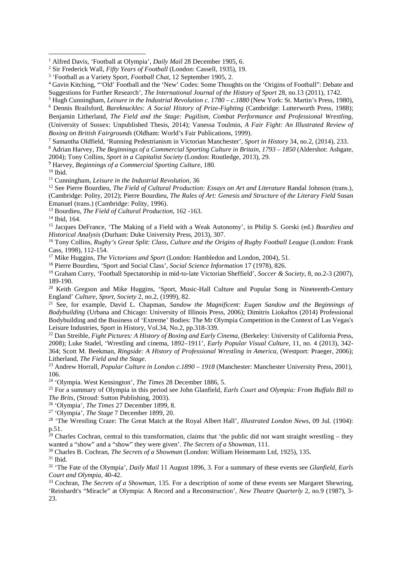<span id="page-22-6"></span><sup>7</sup> Samantha Oldfield, 'Running Pedestrianism in Victorian Manchester', *Sport in History* 34, no.2, (2014), 233.

<span id="page-22-7"></span><sup>8</sup> Adrian Harvey, *The Beginnings of a Commercial Sporting Culture in Britain, 1793 – 1850* (Aldershot: Ashgate, 2004); Tony Collins, *Sport in a Capitalist Society* (London: Routledge, 2013), 29.

<span id="page-22-8"></span><sup>9</sup> Harvey, *Beginnings of a Commercial Sporting Culture*, 180.

<span id="page-22-9"></span> $10$  Ibid.

**.** 

<span id="page-22-10"></span><sup>11</sup> Cunningham, *Leisure in the Industrial Revolution*, 36

<span id="page-22-11"></span><sup>12</sup> See Pierre Bourdieu, *The Field of Cultural Production: Essays on Art and Literature* Randal Johnson (trans.), (Cambridge: Polity, 2012); Pierre Bourdieu, *The Rules of Art: Genesis and Structure of the Literary Field* Susan Emanuel (trans.) (Cambridge: Polity, 1996).

<span id="page-22-12"></span><sup>13</sup> Bourdieu, *The Field of Cultural Production*, 162 -163.

<span id="page-22-14"></span><sup>15</sup> Jacques DeFrance, 'The Making of a Field with a Weak Autonomy', in Philip S. Gorski (ed.) *Bourdieu and Historical Analysis* (Durham: Duke University Press, 2013), 307.

<span id="page-22-15"></span><sup>16</sup> Tony Collins, *Rugby's Great Split*: *Class, Culture and the Origins of Rugby Football League* (London: Frank Cass, 1998), 112-154.

<span id="page-22-16"></span><sup>17</sup> Mike Huggins, *The Victorians and Sport* (London: Hambledon and London, 2004), 51.

<span id="page-22-17"></span><sup>18</sup> Pierre Bourdieu, 'Sport and Social Class', *Social Science Information* 17 (1978), 826.

<span id="page-22-18"></span><sup>19</sup> Graham Curry, 'Football Spectatorship in mid‐to‐late Victorian Sheffield', *Soccer & Society*, 8, no.2-3 (2007), 189-190.

<span id="page-22-19"></span><sup>20</sup> Keith Gregson and Mike Huggins, 'Sport, Music-Hall Culture and Popular Song in Nineteenth-Century England' *Culture, Sport, Society* 2, no.2, (1999), 82.

<span id="page-22-20"></span><sup>21</sup> See, for example, David L. Chapman, *Sandow the Magnificent: Eugen Sandow and the Beginnings of Bodybuilding* (Urbana and Chicago: University of Illinois Press, 2006); Dimitris Liokaftos (2014) Professional Bodybuilding and the Business of 'Extreme' Bodies: The Mr Olympia Competition in the Context of Las Vegas's Leisure Industries, Sport in History, Vol.34, No.2, pp.318-339.

<span id="page-22-21"></span><sup>22</sup> Dan Streible, *Fight Pictures: A History of Boxing and Early Cinema*, (Berkeley: University of California Press, 2008); Luke Stadel, 'Wrestling and cinema, 1892–1911'*, Early Popular Visual Culture*, 11, no. 4 (2013), 342- 364; Scott M. Beekman, *Ringside: A History of Professional Wrestling in America*, (Westport: Praeger, 2006); Litherland, *The Field and the Stage*.<br><sup>23</sup> Andrew Horrall, *Popular Culture in London c.1890 – 1918* (Manchester: Manchester University Press, 2001),

<span id="page-22-22"></span>106.

<span id="page-22-23"></span><sup>24</sup> 'Olympia. West Kensington', *The Times* 28 December 1886, 5.

<span id="page-22-24"></span><sup>25</sup> For a summary of Olympia in this period see John Glanfield, *Earls Court and Olympia: From Buffalo Bill to The Brits*. (Stroud: Sutton Publishing, 2003).

<span id="page-22-25"></span><sup>26</sup> 'Olympia', *The Times* 27 December 1899, 8.

<span id="page-22-26"></span><sup>27</sup> 'Olympia', *The Stage* 7 December 1899, 20.

<span id="page-22-27"></span><sup>28</sup> 'The Wrestling Craze: The Great Match at the Royal Albert Hall', *Illustrated London News*, 09 Jul. (1904): p.51.

<span id="page-22-28"></span> $29$  Charles Cochran, central to this transformation, claims that 'the public did not want straight wrestling – they wanted a "show" and a "show" they were given'. *The Secrets of a Showman*, 111.

<span id="page-22-29"></span><sup>30</sup> Charles B. Cochran, *The Secrets of a Showman* (London: William Heinemann Ltd, 1925), 135.

<span id="page-22-30"></span><sup>31</sup> Ibid.

<span id="page-22-31"></span><sup>32</sup> 'The Fate of the Olympia', *Daily Mail* 11 August 1896, 3. For a summary of these events see *Glanfield*, *Earls Court and Olympia*, 40-42.

<span id="page-22-32"></span><sup>33</sup> Cochran, *The Secrets of a Showman*, 135. For a description of some of these events see Margaret Shewring, 'Reinhardt's "Miracle" at Olympia: A Record and a Reconstruction', *New Theatre Quarterly* 2, no.9 (1987), 3- 23.

<sup>&</sup>lt;sup>1</sup> Alfred Davis, 'Football at Olympia', *Daily Mail* 28 December 1905, 6.

<span id="page-22-1"></span><span id="page-22-0"></span><sup>2</sup> Sir Frederick Wall, *Fifty Years of Football* (London: Cassell, 1935), 19.

<span id="page-22-2"></span><sup>3</sup> 'Football as a Variety Sport, *Football Chat*, 12 September 1905, 2.

<span id="page-22-3"></span><sup>4</sup> Gavin Kitching, "'Old' Football and the 'New' Codes: Some Thoughts on the 'Origins of Football": Debate and Suggestions for Further Research', *The International Journal of the History of Sport* 28, no.13 (2011), 1742.

<span id="page-22-4"></span><sup>5</sup> Hugh Cunningham, *Leisure in the Industrial Revolution c. 1780 – c.1880* (New York: St. Martin's Press, 1980), <sup>6</sup> Dennis Brailsford, *Bareknuckles: A Social History of Prize-Fighting* (Cambridge: Lutterworth Press, 1988);

<span id="page-22-5"></span>Benjamin Litherland, *The Field and the Stage: Pugilism, Combat Performance and Professional Wrestling*, (University of Sussex: Unpublished Thesis, 2014); Vanessa Toulmin, *A Fair Fight: An Illustrated Review of Boxing on British Fairgrounds* (Oldham: World's Fair Publications, 1999).

<span id="page-22-13"></span><sup>14</sup> Ibid, 164.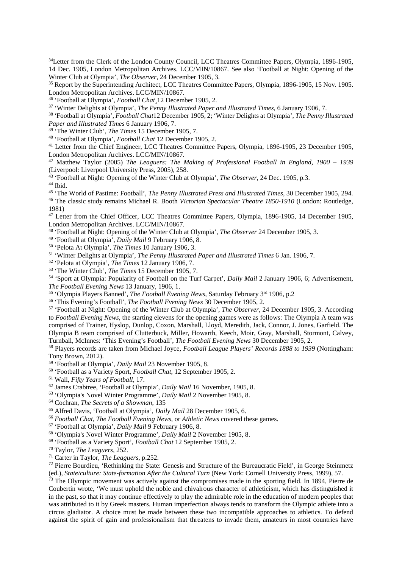<span id="page-23-3"></span><sup>37</sup> 'Winter Delights at Olympia', *The Penny Illustrated Paper and Illustrated Times*, 6 January 1906, 7.

<span id="page-23-4"></span><sup>38</sup> 'Football at Olympia', *Football Chat*12 December 1905, 2; 'Winter Delights at Olympia', *The Penny Illustrated Paper and Illustrated Times* 6 January 1906, 7.

<span id="page-23-5"></span><sup>39</sup> 'The Winter Club', *The Times* 15 December 1905, 7.

<span id="page-23-6"></span><sup>40</sup> 'Football at Olympia', *Football Chat* 12 December 1905, 2.

<span id="page-23-7"></span><sup>41</sup> Letter from the Chief Engineer, LCC Theatres Committee Papers, Olympia, 1896-1905, 23 December 1905, London Metropolitan Archives. LCC/MIN/10867.

<span id="page-23-8"></span><sup>42</sup> Matthew Taylor (2005) *The Leaguers: The Making of Professional Football in England, 1900 – 1939* (Liverpool: Liverpool University Press, 2005), 258.

<span id="page-23-9"></span><sup>43</sup> 'Football at Night: Opening of the Winter Club at Olympia', *The Observer*, 24 Dec. 1905, p.3. <sup>44</sup> Ibid.

**.** 

<span id="page-23-12"></span><span id="page-23-11"></span><span id="page-23-10"></span><sup>45</sup> 'The World of Pastime: Football', *The Penny Illustrated Press and Illustrated Times*, 30 December 1905, 294. <sup>46</sup> The classic study remains Michael R. Booth *Victorian Spectacular Theatre 1850-1910* (London: Routledge, 1981)

<span id="page-23-13"></span><sup>47</sup> Letter from the Chief Officer, LCC Theatres Committee Papers, Olympia, 1896-1905, 14 December 1905, London Metropolitan Archives. LCC/MIN/10867.

<span id="page-23-14"></span><sup>48</sup> 'Football at Night: Opening of the Winter Club at Olympia', *The Observer* 24 December 1905, 3.

<span id="page-23-15"></span><sup>49</sup> 'Football at Olympia', *Daily Mail* 9 February 1906, 8.

<span id="page-23-16"></span><sup>50</sup> 'Pelota At Olympia', *The Times* 10 January 1906, 3.

<span id="page-23-17"></span><sup>51</sup> 'Winter Delights at Olympia', *The Penny Illustrated Paper and Illustrated Times* 6 Jan. 1906, 7.

<span id="page-23-18"></span><sup>52</sup> 'Pelota at Olympia', *The Times* 12 January 1906, 7.

<span id="page-23-19"></span><sup>53</sup> 'The Winter Club', *The Times* 15 December 1905, 7.

<span id="page-23-20"></span><sup>54</sup> 'Sport at Olympia: Popularity of Football on the Turf Carpet', *Daily Mail* 2 January 1906, 6; Advertisement, *The Football Evening News* 13 January, 1906, 1.

<span id="page-23-21"></span><sup>55</sup> 'Olympia Players Banned', *The Football Evening News*, Saturday February 3rd 1906, p.2

<span id="page-23-22"></span><sup>56</sup> 'This Evening's Football', *The Football Evening News* 30 December 1905, 2.

<span id="page-23-23"></span><sup>57</sup> 'Football at Night: Opening of the Winter Club at Olympia', *The Observer*, 24 December 1905, 3. According to *Football Evening News*, the starting elevens for the opening games were as follows: The Olympia A team was comprised of Trainer, Hyslop, Dunlop, Coxon, Marshall, Lloyd, Meredith, Jack, Connor, J. Jones, Garfield. The Olympia B team comprised of Clutterbuck, Miller, Howarth, Keech, Moir, Gray, Marshall, Stormont, Calvey, Turnball, McInnes: 'This Evening's Football', *The Football Evening News* 30 December 1905, 2.

<span id="page-23-24"></span><sup>58</sup> Players records are taken from Michael Joyce, *Football League Players' Records 1888 to 1939* (Nottingham: Tony Brown, 2012).

<span id="page-23-25"></span><sup>59</sup> 'Football at Olympia', *Daily Mail* 23 November 1905, 8.

<sup>60</sup> 'Football as a Variety Sport, *Football Chat*, 12 September 1905, 2.

<span id="page-23-28"></span><span id="page-23-27"></span><span id="page-23-26"></span><sup>61</sup> Wall, *Fifty Years of Football*, 17.<br><sup>62</sup> James Crabtree, 'Football at Olympia', *Daily Mail* 16 November, 1905, 8.

<span id="page-23-29"></span><sup>63</sup> 'Olympia's Novel Winter Programme', *Daily Mail* 2 November 1905, 8.

<span id="page-23-30"></span><sup>64</sup> Cochran, *The Secrets of a Showman*, 135

<span id="page-23-31"></span><sup>65</sup> Alfred Davis, 'Football at Olympia', *Daily Mail* 28 December 1905, 6.

<span id="page-23-32"></span><sup>66</sup> *Football Chat*, *The Football Evening News*, or *Athletic News* covered these games.

<span id="page-23-33"></span><sup>67</sup> 'Football at Olympia', *Daily Mail* 9 February 1906, 8.

<span id="page-23-34"></span><sup>68</sup> 'Olympia's Novel Winter Programme', *Daily Mail* 2 November 1905, 8.

<span id="page-23-35"></span><sup>69</sup> 'Football as a Variety Sport', *Football Chat* 12 September 1905, 2.

<span id="page-23-36"></span><sup>70</sup> Taylor, *The Leaguers*, 252.

<span id="page-23-37"></span><sup>71</sup> Carter in Taylor, *The Leaguers*, p.252.

<span id="page-23-38"></span><sup>72</sup> Pierre Bourdieu, 'Rethinking the State: Genesis and Structure of the Bureaucratic Field', in George Steinmetz (ed.), *State/culture: State-formation After the Cultural Turn* (New York: Cornell University Press, 1999), 57.

<span id="page-23-39"></span> $73$  The Olympic movement was actively against the compromises made in the sporting field. In 1894, Pierre de Coubertin wrote, 'We must uphold the noble and chivalrous character of athleticism, which has distinguished it in the past, so that it may continue effectively to play the admirable role in the education of modern peoples that was attributed to it by Greek masters. Human imperfection always tends to transform the Olympic athlete into a circus gladiator. A choice must be made between these two incompatible approaches to athletics. To defend against the spirit of gain and professionalism that threatens to invade them, amateurs in most countries have

<span id="page-23-0"></span><sup>&</sup>lt;sup>34</sup>Letter from the Clerk of the London County Council, LCC Theatres Committee Papers, Olympia, 1896-1905, 14 Dec. 1905, London Metropolitan Archives. LCC/MIN/10867. See also 'Football at Night: Opening of the Winter Club at Olympia', *The Observer*, 24 December 1905, 3.

<span id="page-23-1"></span><sup>&</sup>lt;sup>35</sup> Report by the Superintending Architect, LCC Theatres Committee Papers, Olympia, 1896-1905, 15 Nov. 1905. London Metropolitan Archives. LCC/MIN/10867.

<span id="page-23-2"></span><sup>36</sup> 'Football at Olympia', *Football Chat*¸12 December 1905, 2.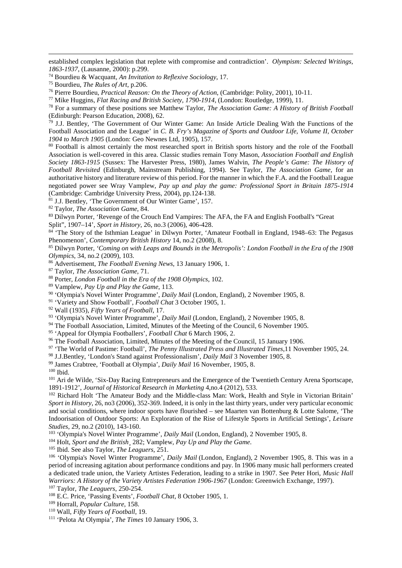established complex legislation that replete with compromise and contradiction'. *Olympism: Selected Writings, 1863-1937*, (Lausanne, 2000): p.299.

<span id="page-24-0"></span><sup>74</sup> Bourdieu & Wacquant, *An Invitation to Reflexive Sociology*, 17.

<span id="page-24-1"></span><sup>75</sup> Bourdieu, *The Rules of Art*, p.206.

**.** 

<span id="page-24-2"></span><sup>76</sup> Pierre Bourdieu, *Practical Reason: On the Theory of Action*, (Cambridge: Polity, 2001), 10-11.

<span id="page-24-3"></span><sup>77</sup> Mike Huggins, *Flat Racing and British Society*, *1790-1914*, (London: Routledge, 1999), 11.

<span id="page-24-4"></span><sup>78</sup> For a summary of these positions see Matthew Taylor, *The Association Game: A History of British Football* (Edinburgh: Pearson Education, 2008), 62.

<span id="page-24-5"></span> $79$  J.J. Bentley, 'The Government of Our Winter Game: An Inside Article Dealing With the Functions of the Football Association and the League' in *C. B. Fry's Magazine of Sports and Outdoor Life, Volume II, October 1904 to March 1905* (London: Geo Newnes Ltd, 1905), 157.

<span id="page-24-6"></span><sup>80</sup> Football is almost certainly the most researched sport in British sports history and the role of the Football Association is well-covered in this area. Classic studies remain Tony Mason, *Association Football and English Society 1863-1915* (Sussex: The Harvester Press, 1980), James Walvin, *The People's Game: The History of Football Revisited* (Edinburgh, Mainstream Publishing, 1994). See Taylor, *The Association Game,* for an authoritative history and literature review of this period. For the manner in which the F.A. and the Football League negotiated power see Wray Vamplew, *Pay up and play the game: Professional Sport in Britain 1875-1914* (Cambridge: Cambridge University Press, 2004), pp.124-138.

<span id="page-24-7"></span><sup>81</sup> J.J. Bentley, 'The Government of Our Winter Game', 157.

<span id="page-24-8"></span><sup>82</sup> Taylor, *The Association Game*, 84.

<span id="page-24-9"></span><sup>83</sup> Dilwyn Porter, 'Revenge of the Crouch End Vampires: The AFA, the FA and English Football's "Great Split", 1907–14', *Sport in History*, 26, no.3 (2006), 406-428.

<span id="page-24-10"></span><sup>84</sup> 'The Story of the Isthmian League' in Dilwyn Porter, 'Amateur Football in England, 1948–63: The Pegasus Phenomenon', *Contemporary British History* 14, no.2 (2008), 8.

<span id="page-24-11"></span><sup>85</sup> Dilwyn Porter, *'Coming on with Leaps and Bounds in the Metropolis': London Football in the Era of the 1908 Olympics*, 34, no.2 (2009), 103.

<span id="page-24-12"></span><sup>86</sup> Advertisement, *The Football Evening News*, 13 January 1906, 1.

<span id="page-24-13"></span><sup>87</sup> Taylor, *The Association Game*, 71.

<span id="page-24-14"></span><sup>88</sup> Porter, *London Football in the Era of the 1908 Olympics*, 102.

<span id="page-24-15"></span><sup>89</sup> Vamplew, *Pay Up and Play the Game*, 113.

<span id="page-24-16"></span><sup>90</sup> 'Olympia's Novel Winter Programme', *Daily Mail* (London, England), 2 November 1905, 8.

<span id="page-24-17"></span><sup>91</sup> 'Variety and Show Football', *Football Chat* 3 October 1905, 1.

<sup>92</sup> Wall (1935), *Fifty Years of Football*, 17.

<span id="page-24-19"></span><span id="page-24-18"></span><sup>93</sup> 'Olympia's Novel Winter Programme', *Daily Mail* (London, England), 2 November 1905, 8.

<span id="page-24-20"></span><sup>94</sup> The Football Association, Limited, Minutes of the Meeting of the Council, 6 November 1905.

<span id="page-24-21"></span><sup>95</sup> 'Appeal for Olympia Footballers', *Football Chat* 6 March 1906, 2.

<span id="page-24-22"></span><sup>96</sup> The Football Association, Limited, Minutes of the Meeting of the Council, 15 January 1906.

<span id="page-24-23"></span><sup>97</sup> 'The World of Pastime: Football', *The Penny Illustrated Press and Illustrated Times*,11 November 1905, 24.

<span id="page-24-24"></span><sup>98</sup> J.J.Bentley, 'London's Stand against Professionalism', *Daily Mail* 3 November 1905, 8.

<span id="page-24-25"></span><sup>99</sup> James Crabtree, 'Football at Olympia', *Daily Mail* 16 November, 1905, 8. 100 Ibid.

<span id="page-24-27"></span><span id="page-24-26"></span><sup>101</sup> Ari de Wilde, 'Six-Day Racing Entrepreneurs and the Emergence of the Twentieth Century Arena Sportscape, 1891-1912', *Journal of Historical Research in Marketing* 4,no.4 (2012), 533.

<span id="page-24-28"></span><sup>102</sup> Richard Holt 'The Amateur Body and the Middle-class Man: Work, Health and Style in Victorian Britain' *Sport in History*, 26, no3 (2006), 352-369. Indeed, it is only in the last thirty years, under very particular economic and social conditions, where indoor sports have flourished – see Maarten van Bottenburg & Lotte Salome, 'The Indoorisation of Outdoor Sports: An Exploration of the Rise of Lifestyle Sports in Artificial Settings', *Leisure Studies*, 29, no.2 (2010), 143-160.

<span id="page-24-29"></span><sup>103</sup> 'Olympia's Novel Winter Programme', *Daily Mail* (London, England), 2 November 1905, 8.

<span id="page-24-30"></span><sup>104</sup> Holt, *Sport and the British*¸ 282; Vamplew, *Pay Up and Play the Game*.

<span id="page-24-31"></span><sup>105</sup> Ibid. See also Taylor, *The Leaguers*, 251.

<span id="page-24-32"></span><sup>106</sup> 'Olympia's Novel Winter Programme', *Daily Mail* (London, England), 2 November 1905, 8. This was in a period of increasing agitation about performance conditions and pay. In 1906 many music hall performers created a dedicated trade union, the Variety Artistes Federation, leading to a strike in 1907. See Peter Hori, *Music Hall Warriors: A History of the Variety Artistes Federation 1906-1967* (London: Greenwich Exchange, 1997). <sup>107</sup> Taylor, *The Leaguers*, 250-254.

<span id="page-24-34"></span><span id="page-24-33"></span><sup>108</sup> E.C. Price, 'Passing Events', *Football Chat*, 8 October 1905, 1.

<span id="page-24-35"></span><sup>109</sup> Horrall, *Popular Culture*, 158.

<span id="page-24-36"></span><sup>110</sup> Wall, *Fifty Years of Football*, 19.

<span id="page-24-37"></span><sup>111</sup> 'Pelota At Olympia', *The Times* 10 January 1906, 3.